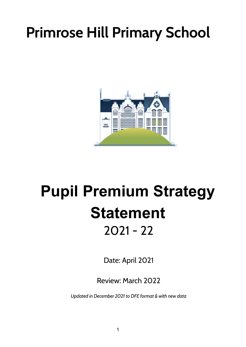# **Primrose Hill Primary School**



# **Pupil Premium Strategy Statement** 2021 - 22

Date: April 2021

Review: March 2022

*Updated in December 2021 to DFE format & with new data*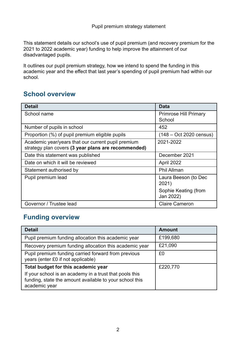This statement details our school's use of pupil premium (and recovery premium for the 2021 to 2022 academic year) funding to help improve the attainment of our disadvantaged pupils.

It outlines our pupil premium strategy, how we intend to spend the funding in this academic year and the effect that last year's spending of pupil premium had within our school.

### **School overview**

| <b>Detail</b>                                                                                             | <b>Data</b>                            |
|-----------------------------------------------------------------------------------------------------------|----------------------------------------|
| School name                                                                                               | <b>Primrose Hill Primary</b><br>School |
| Number of pupils in school                                                                                | 452                                    |
| Proportion (%) of pupil premium eligible pupils                                                           | $(148 - Oct 2020 census)$              |
| Academic year/years that our current pupil premium<br>strategy plan covers (3 year plans are recommended) | 2021-2022                              |
| Date this statement was published                                                                         | December 2021                          |
| Date on which it will be reviewed                                                                         | April 2022                             |
| Statement authorised by                                                                                   | Phil Allman                            |
| Pupil premium lead                                                                                        | Laura Beeson (to Dec<br>2021)          |
|                                                                                                           | Sophie Keating (from<br>Jan 2022)      |
| Governor / Trustee lead                                                                                   | <b>Claire Cameron</b>                  |

### **Funding overview**

| <b>Detail</b>                                                                                                                       | <b>Amount</b> |
|-------------------------------------------------------------------------------------------------------------------------------------|---------------|
| Pupil premium funding allocation this academic year                                                                                 | £199,680      |
| Recovery premium funding allocation this academic year                                                                              | £21,090       |
| Pupil premium funding carried forward from previous<br>years (enter £0 if not applicable)                                           | £0            |
| Total budget for this academic year                                                                                                 | £220,770      |
| If your school is an academy in a trust that pools this<br>funding, state the amount available to your school this<br>academic year |               |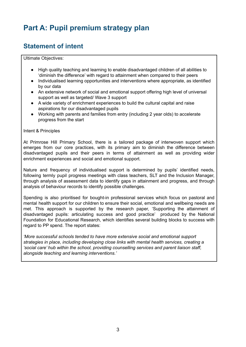## **Part A: Pupil premium strategy plan**

#### **Statement of intent**

Ultimate Objectives:

- High quality teaching and learning to enable disadvantaged children of all abilities to 'diminish the difference' with regard to attainment when compared to their peers
- Individualised learning opportunities and interventions where appropriate, as identified by our data
- An extensive network of social and emotional support offering high level of universal support as well as targeted/ Wave 3 support
- A wide variety of enrichment experiences to build the cultural capital and raise aspirations for our disadvantaged pupils
- Working with parents and families from entry (including 2 year olds) to accelerate progress from the start

#### Intent & Principles

At Primrose Hill Primary School, there is a tailored package of interwoven support which emerges from our core practices, with its primary aim to diminish the difference between disadvantaged pupils and their peers in terms of attainment as well as providing wider enrichment experiences and social and emotional support.

Nature and frequency of individualised support is determined by pupils' identified needs, following termly pupil progress meetings with class teachers, SLT and the Inclusion Manager, through analysis of assessment data to identify gaps in attainment and progress, and through analysis of behaviour records to identify possible challenges.

Spending is also prioritised for bought-in professional services which focus on pastoral and mental health support for our children to ensure their social, emotional and wellbeing needs are met. This approach is supported by the research paper, 'Supporting the attainment of disadvantaged pupils: articulating success and good practice' produced by the National Foundation for Educational Research, which identifies several building blocks to success with regard to PP spend. The report states:

*'More successful schools tended to have more extensive social and emotional support strategies in place, including developing close links with mental health services, creating a 'social care' hub within the school, providing counselling services and parent liaison staff, alongside teaching and learning interventions.'*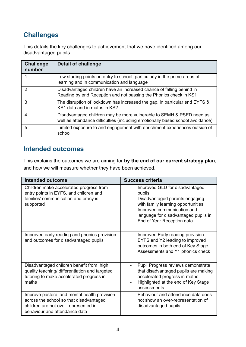## **Challenges**

This details the key challenges to achievement that we have identified among our disadvantaged pupils.

| <b>Challenge</b><br>number | Detail of challenge                                                                                                                                    |
|----------------------------|--------------------------------------------------------------------------------------------------------------------------------------------------------|
|                            | Low starting points on entry to school, particularly in the prime areas of<br>learning and in communication and language                               |
| 2                          | Disadvantaged children have an increased chance of falling behind in<br>Reading by end Reception and not passing the Phonics check in KS1              |
| 3                          | The disruption of lockdown has increased the gap, in particular end EYFS &<br>KS1 data and in maths in KS2.                                            |
| 4                          | Disadvantaged children may be more vulnerable to SEMH & PSED need as<br>well as attendance difficulties (including emotionally based school avoidance) |
| 5                          | Limited exposure to and engagement with enrichment experiences outside of<br>school                                                                    |

#### **Intended outcomes**

This explains the outcomes we are aiming for **by the end of our current strategy plan**, and how we will measure whether they have been achieved.

| <b>Intended outcome</b>                                                                                                                                          | <b>Success criteria</b>                                                                                                                                                                                              |  |
|------------------------------------------------------------------------------------------------------------------------------------------------------------------|----------------------------------------------------------------------------------------------------------------------------------------------------------------------------------------------------------------------|--|
| Children make accelerated progress from<br>entry points in EYFS, and children and<br>families' communication and oracy is<br>supported                           | Improved GLD for disadvantaged<br>pupils<br>Disadvantaged parents engaging<br>with family learning opportunities<br>Improved communication and<br>language for disadvantaged pupils in<br>End of Year Reception data |  |
| Improved early reading and phonics provision<br>and outcomes for disadvantaged pupils                                                                            | Improved Early reading provision<br>EYFS end Y2 leading to improved<br>outcomes in both end of Key Stage<br>Assessments and Y1 phonics check                                                                         |  |
| Disadvantaged children benefit from high<br>quality teaching/ differentiation and targeted<br>tutoring to make accelerated progress in<br>maths                  | Pupil Progress reviews demonstrate<br>that disadvantaged pupils are making<br>accelerated progress in maths.<br>Highlighted at the end of Key Stage<br>assessments.                                                  |  |
| Improve pastoral and mental health provision<br>across the school so that disadvantaged<br>children are not over-represented in<br>behaviour and attendance data | Behaviour and attendance data does<br>not show an over-representation of<br>disadvantaged pupils                                                                                                                     |  |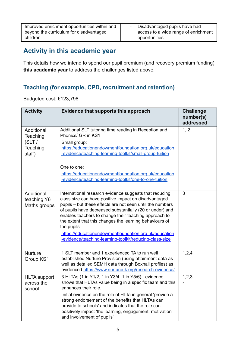| Improved enrichment opportunities within and | Disadvantaged pupils have had        |
|----------------------------------------------|--------------------------------------|
| beyond the curriculum for disadvantaged      | access to a wide range of enrichment |
| children                                     | opportunities                        |

### **Activity in this academic year**

This details how we intend to spend our pupil premium (and recovery premium funding) **this academic year** to address the challenges listed above.

#### **Teaching (for example, CPD, recruitment and retention)**

Budgeted cost: £123,798

| <b>Activity</b>                                        | Evidence that supports this approach                                                                                                                                                                                                                                                                                                                                                                                                                                                          | <b>Challenge</b><br>number(s)<br>addressed |
|--------------------------------------------------------|-----------------------------------------------------------------------------------------------------------------------------------------------------------------------------------------------------------------------------------------------------------------------------------------------------------------------------------------------------------------------------------------------------------------------------------------------------------------------------------------------|--------------------------------------------|
| Additional<br>Teaching<br>(SLT /<br>Teaching<br>staff) | Additional SLT tutoring time reading in Reception and<br>Phonics/ GR in KS1<br>Small group:<br>https://educationendowmentfoundation.org.uk/education<br>-evidence/teaching-learning-toolkit/small-group-tuition<br>One to one:<br>https://educationendowmentfoundation.org.uk/education<br>-evidence/teaching-learning-toolkit/one-to-one-tuition                                                                                                                                             | 1, 2                                       |
| Additional<br>teaching Y6<br>Maths groups              | International research evidence suggests that reducing<br>class size can have positive impact on disadvantaged<br>pupils - but these effects are not seen until the numbers<br>of pupils have decreased substantially (20 or under) and<br>enables teachers to change their teaching approach to<br>the extent that this changes the learning behaviours of<br>the pupils<br>https://educationendowmentfoundation.org.uk/education<br>-evidence/teaching-learning-toolkit/reducing-class-size | 3                                          |
| <b>Nurture</b><br>Group KS1                            | 1 SLT member and 1 experienced TA to run well<br>established Nurture Provision (using attainment data as<br>well as detailed SEMH data through Boxhall profiles) as<br>evidenced https://www.nurtureuk.org/research-evidence/                                                                                                                                                                                                                                                                 | 1,2,4                                      |
| <b>HLTA</b> support<br>across the<br>school            | 3 HLTAs (1 in Y1/2, 1 in Y3/4, 1 in Y5/6) - evidence<br>shows that HLTAs value being in a specific team and this<br>enhances their role.<br>Initial evidence on the role of HLTa in general 'provide a<br>strong endorsement of the benefits that HLTAs can<br>provide to schools' and indicates that the role can<br>positively impact 'the learning, engagement, motivation<br>and involvement of pupils'                                                                                   | 1,2,3<br>$\overline{4}$                    |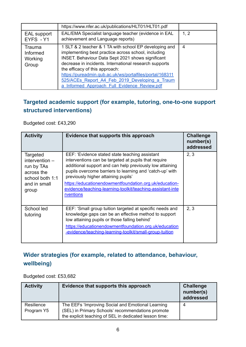|                                        | https://www.nfer.ac.uk/publications/HLT01/HLT01.pdf                                                                                                                                                                                                                                                                                                                                                                                 |      |
|----------------------------------------|-------------------------------------------------------------------------------------------------------------------------------------------------------------------------------------------------------------------------------------------------------------------------------------------------------------------------------------------------------------------------------------------------------------------------------------|------|
| <b>EAL</b> support<br>EYFS - Y1        | EAL/EMA Specialist language teacher (evidence in EAL<br>achievement and Language reports)                                                                                                                                                                                                                                                                                                                                           | 1, 2 |
| Trauma<br>Informed<br>Working<br>Group | 1 SLT & 2 teacher & 1 TA with school EP developing and<br>implementing best practice across school, including<br><b>INSET.</b> Behaviour Data Sept 2021 shows significant<br>decrease in incidents. International research supports<br>the efficacy of this approach:<br>https://pureadmin.qub.ac.uk/ws/portalfiles/portal/168311<br>525/ACEs Report A4 Feb 2019 Developing a Traum<br>a Informed Approach Full Evidence Review.pdf | 4    |
|                                        |                                                                                                                                                                                                                                                                                                                                                                                                                                     |      |

#### **Targeted academic support (for example, tutoring, one-to-one support structured interventions)**

Budgeted cost: £43,290

| <b>Activity</b>                                                                                      | Evidence that supports this approach                                                                                                                                                                                                                                                                                                                                                                       | <b>Challenge</b><br>number(s)<br>addressed |
|------------------------------------------------------------------------------------------------------|------------------------------------------------------------------------------------------------------------------------------------------------------------------------------------------------------------------------------------------------------------------------------------------------------------------------------------------------------------------------------------------------------------|--------------------------------------------|
| Targeted<br>intervention $-$<br>run by TAs<br>across the<br>school both 1:1<br>and in small<br>group | EEF: 'Evidence stated state teaching assistant<br>interventions can be targeted at pupils that require<br>additional support and can help previously low attaining<br>pupils overcome barriers to learning and 'catch-up' with<br>previously higher attaining pupils'<br>https://educationendowmentfoundation.org.uk/education-<br>evidence/teaching-learning-toolkit/teaching-assistant-inte<br>rventions | 2, 3                                       |
| School led<br>tutoring                                                                               | EEF: 'Small group tuition targeted at specific needs and<br>knowledge gaps can be an effective method to support<br>low attaining pupils or those falling behind'<br>https://educationendowmentfoundation.org.uk/education<br>-evidence/teaching-learning-toolkit/small-group-tuition                                                                                                                      | 2, 3                                       |

#### **Wider strategies (for example, related to attendance, behaviour, wellbeing)**

Budgeted cost: £53,682

| <b>Activity</b>          | Evidence that supports this approach                                                                                                                             | <b>Challenge</b><br>number(s)<br>addressed |
|--------------------------|------------------------------------------------------------------------------------------------------------------------------------------------------------------|--------------------------------------------|
| Resilience<br>Program Y5 | The EEFs 'Improving Social and Emotional Learning<br>(SEL) in Primary Schools' recommendations promote<br>the explicit teaching of SEL in dedicated lesson time: | 4                                          |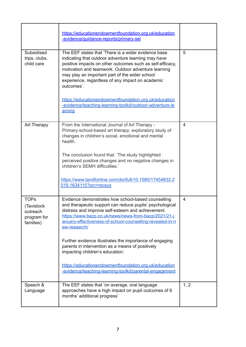|                                                                   | https://educationendowmentfoundation.org.uk/education<br>-evidence/guidance-reports/primary-sel                                                                                                                                                                                                                                                    |                |
|-------------------------------------------------------------------|----------------------------------------------------------------------------------------------------------------------------------------------------------------------------------------------------------------------------------------------------------------------------------------------------------------------------------------------------|----------------|
| Subsidised<br>trips, clubs,<br>child care                         | The EEF states that 'There is a wider evidence base<br>indicating that outdoor adventure learning may have<br>positive impacts on other outcomes such as self-efficacy,<br>motivation and teamwork. Outdoor adventure learning<br>may play an important part of the wider school<br>experience, regardless of any impact on academic<br>outcomes'. | 5              |
|                                                                   | https://educationendowmentfoundation.org.uk/education<br>-evidence/teaching-learning-toolkit/outdoor-adventure-le<br>arning                                                                                                                                                                                                                        |                |
| Art Therapy                                                       | From the International Journal of Art Therapy -<br>Primary-school-based art therapy: exploratory study of<br>changes in children's social, emotional and mental<br>health.                                                                                                                                                                         | 4              |
|                                                                   | The conclusion found that: 'The study highlighted<br>perceived positive changes and no negative changes in<br>children's SEMH difficulties.'                                                                                                                                                                                                       |                |
|                                                                   | https://www.tandfonline.com/doi/full/10.1080/17454832.2<br>019.1634115?src=recsys                                                                                                                                                                                                                                                                  |                |
| <b>TOPs</b><br>(Tavistock<br>outreach<br>program for<br>families) | Evidence demonstrates how school-based counselling<br>and therapeutic support can reduce pupils' psychological<br>distress and improve self-esteem and achievement.<br>https://www.bacp.co.uk/news/news-from-bacp/2021/21-j<br>anuary-effectiveness-of-school-counselling-revealed-in-n<br>ew-research/                                            | $\overline{4}$ |
|                                                                   | Further evidence illustrates the importance of engaging<br>parents in intervention as a means of positively<br>impacting children's education:                                                                                                                                                                                                     |                |
|                                                                   | https://educationendowmentfoundation.org.uk/education<br>-evidence/teaching-learning-toolkit/parental-engagement                                                                                                                                                                                                                                   |                |
| Speech &<br>Language                                              | The EEF states that 'on average, oral language<br>approaches have a high impact on pupil outcomes of 6<br>months' additional progress'                                                                                                                                                                                                             | 1, 2           |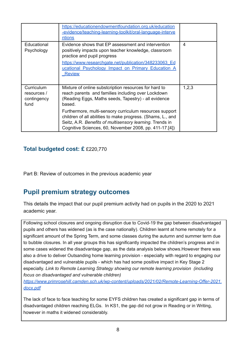|                                                  | https://educationendowmentfoundation.org.uk/education<br>-evidence/teaching-learning-toolkit/oral-language-interve<br>ntions                                                                                                                                              |                |
|--------------------------------------------------|---------------------------------------------------------------------------------------------------------------------------------------------------------------------------------------------------------------------------------------------------------------------------|----------------|
| Educational<br>Psychology                        | Evidence shows that EP assessment and intervention<br>positively impacts upon teacher knowledge, classroom<br>practice and pupil progress<br>https://www.researchgate.net/publication/348233063 Ed<br>ucational Psychology Impact on Primary Education A<br><b>Review</b> | $\overline{4}$ |
| Curriculum<br>resources /<br>contingency<br>fund | Mixture of online substcription resources for hard to<br>reach parents and families including over Lockdown<br>(Reading Eggs, Maths seeds, Tapestry) - all evidence<br>based.<br>Furthermore, multi-sensory curriculum resources support                                  | 1,2,3          |
|                                                  | children of all abilities to make progress. (Shams, L., and<br>Seitz, A.R. Benefits of multisensory learning. Trends in<br>Cognitive Sciences, 60, November 2008, pp. 411-17.[4])                                                                                         |                |

#### **Total budgeted cost: £** £220,770

Part B: Review of outcomes in the previous academic year

#### **Pupil premium strategy outcomes**

This details the impact that our pupil premium activity had on pupils in the 2020 to 2021 academic year.

Following school closures and ongoing disruption due to Covid-19 the gap between disadvantaged pupils and others has widened (as is the case nationally). Children learnt at home remotely for a significant amount of the Spring Term, and some classes during the autumn and summer term due to bubble closures. In all year groups this has significantly impacted the children's progress and in some cases widened the disadvantage gap, as the data analysis below shows.However there was also a drive to deliver Outsanding home learning provision - especially with regard to engaging our disadvantaged and vulnerable pupils - which has had some positive impact in Key Stage 2 especially. *Link to Remote Learning Strategy showing our remote learning provision (including focus on disadvantaged and vulnerable children)*

*[https://www.primrosehill.camden.sch.uk/wp-content/uploads/2021/02/Remote-Learning-Offer-2021.](https://www.primrosehill.camden.sch.uk/wp-content/uploads/2021/02/Remote-Learning-Offer-2021.docx.pdf) [docx.pdf](https://www.primrosehill.camden.sch.uk/wp-content/uploads/2021/02/Remote-Learning-Offer-2021.docx.pdf)*

The lack of face to face teaching for some EYFS children has created a significant gap in terms of disadvantaged children reaching ELGs. In KS1, the gap did not grow in Reading or in Writing, however in maths it widened considerably.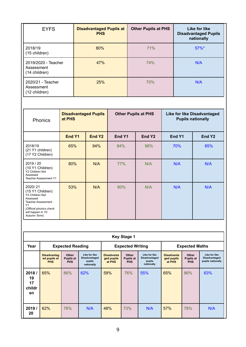| <b>EYFS</b>                                        | <b>Disadvantaged Pupils at</b><br><b>PHS</b> | <b>Other Pupils at PHS</b> | Like for like<br><b>Disadvantaged Pupils</b><br>nationally |
|----------------------------------------------------|----------------------------------------------|----------------------------|------------------------------------------------------------|
| 2018/19<br>(15 children)                           | 80%                                          | 71%                        | $57\%$ *                                                   |
| 2019/2020 - Teacher<br>Assessment<br>(14 children) | 47%                                          | 74%                        | N/A                                                        |
| 2020/21 - Teacher<br>Assessment<br>(12 children)   | 25%                                          | 70%                        | N/A                                                        |

| <b>Phonics</b>                                                                                                                                                | <b>Disadvantaged Pupils</b><br>at PHS |                    | <b>Other Pupils at PHS</b> |                    | <b>Like for like Disadvantaged</b><br><b>Pupils nationally</b> |                    |  |
|---------------------------------------------------------------------------------------------------------------------------------------------------------------|---------------------------------------|--------------------|----------------------------|--------------------|----------------------------------------------------------------|--------------------|--|
|                                                                                                                                                               | End Y1                                | End Y <sub>2</sub> | End Y1                     | End Y <sub>2</sub> | End Y1                                                         | End Y <sub>2</sub> |  |
| 2018/19<br>(21 Y1 children)<br>(17 Y2 Children)                                                                                                               | 65%                                   | 94%                | 84%                        | 98%                | 70%                                                            | 85%                |  |
| 2019 / 20<br>(10 Y1 Children)<br>Y2 Children Not<br>Assessed<br><b>Teacher Assessment Y1</b>                                                                  | 80%                                   | N/A                | 77%                        | N/A                | N/A                                                            | N/A                |  |
| 2020/21<br>(15 Y1 Children)<br>Y2 Children Not<br>Assessed<br><b>Teacher Assessment</b><br>Y1<br>(Official phonics check<br>will happen in Y2<br>Autumn Term) | 53%                                   | N/A                | 80%                        | N/A                | N/A                                                            | N/A                |  |

|                                   | <b>Key Stage 1</b>                               |                                         |                                                               |                                           |                                         |                                                               |                                           |                                         |                                                     |
|-----------------------------------|--------------------------------------------------|-----------------------------------------|---------------------------------------------------------------|-------------------------------------------|-----------------------------------------|---------------------------------------------------------------|-------------------------------------------|-----------------------------------------|-----------------------------------------------------|
| Year                              | <b>Expected Reading</b>                          |                                         |                                                               |                                           | <b>Expected Writing</b>                 |                                                               | <b>Expected Maths</b>                     |                                         |                                                     |
|                                   | <b>Disadvantag</b><br>ed pupils at<br><b>PHS</b> | Other<br><b>Pupils at</b><br><b>PHS</b> | Like for like<br><b>Disadvantaged</b><br>pupils<br>nationally | <b>Disadvanta</b><br>ged pupils<br>at PHS | Other<br><b>Pupils at</b><br><b>PHS</b> | Like for like<br><b>Disadvantaged</b><br>pupils<br>nationally | <b>Disadvanta</b><br>ged pupils<br>at PHS | Other<br><b>Pupils at</b><br><b>PHS</b> | Like for like<br>Disadvantaged<br>pupils nationally |
| 2018/<br>19<br>17<br>childr<br>en | 65%                                              | 86%                                     | 62%                                                           | 59%                                       | 76%                                     | 55%                                                           | 65%                                       | 86%                                     | 63%                                                 |
| 2019/<br>20                       | 62%                                              | 76%                                     | N/A                                                           | 48%                                       | 73%                                     | N/A                                                           | 57%                                       | 78%                                     | N/A                                                 |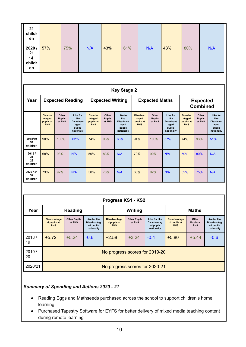| 21<br>childr<br>en                |                                                     |                                  |                                                                      |                                                     |                                  |                                                                      |                                                     |                                  |                                                                      |                                                     |                                  |                                                                      |
|-----------------------------------|-----------------------------------------------------|----------------------------------|----------------------------------------------------------------------|-----------------------------------------------------|----------------------------------|----------------------------------------------------------------------|-----------------------------------------------------|----------------------------------|----------------------------------------------------------------------|-----------------------------------------------------|----------------------------------|----------------------------------------------------------------------|
| 2020/<br>21<br>14<br>childr<br>en | 57%                                                 | 75%                              |                                                                      | N/A                                                 | 43%                              | 61%                                                                  |                                                     | N/A                              | 43%                                                                  | 80%                                                 |                                  | N/A                                                                  |
|                                   |                                                     |                                  |                                                                      |                                                     |                                  | <b>Key Stage 2</b>                                                   |                                                     |                                  |                                                                      |                                                     |                                  |                                                                      |
| Year                              |                                                     |                                  | <b>Expected Reading</b>                                              |                                                     |                                  | <b>Expected Writing</b>                                              | <b>Expected Maths</b>                               |                                  |                                                                      | <b>Expected</b><br><b>Combined</b>                  |                                  |                                                                      |
|                                   | <b>Disadva</b><br>ntaged<br>pupils at<br><b>PHS</b> | Other<br><b>Pupils</b><br>at PHS | Like for<br>like<br><b>Disadvant</b><br>aged<br>pupils<br>nationally | <b>Disadva</b><br>ntaged<br>pupils at<br><b>PHS</b> | Other<br><b>Pupils</b><br>at PHS | Like for<br>like<br><b>Disadvant</b><br>aged<br>pupils<br>nationally | <b>Disadvan</b><br>taged<br>pupils at<br><b>PHS</b> | Other<br><b>Pupils</b><br>at PHS | Like for<br>like<br><b>Disadvant</b><br>aged<br>pupils<br>nationally | <b>Disadva</b><br>ntaged<br>pupils at<br><b>PHS</b> | Other<br><b>Pupils</b><br>at PHS | Like for<br>like<br><b>Disadvant</b><br>aged<br>pupils<br>nationally |
| 2018/19<br>31<br>children         | 90%                                                 | 100%                             | 62%                                                                  | 74%                                                 | 93%                              | 68%                                                                  | 94%                                                 | 100%                             | 67%                                                                  | 74%                                                 | 93%                              | 51%                                                                  |
| 2019/<br>20<br>28<br>children     | 68%                                                 | 93%                              | N/A                                                                  | 50%                                                 | 83%                              | N/A                                                                  | 79%                                                 | 90%                              | N/A                                                                  | 50%                                                 | 80%                              | N/A                                                                  |
| 2020 / 21<br>32<br>children       | 73%                                                 | 92%                              | N/A                                                                  | 50%                                                 | 76%                              | N/A                                                                  | 63%                                                 | 92%                              | N/A                                                                  | 52%                                                 | 75%                              | N/A                                                                  |

| Progress KS1 - KS2 |  |
|--------------------|--|
|                    |  |

| Year        | <b>Reading</b>                                   |                                |                                                                | Writing                                          |                               |                                                                | <b>Maths</b>                                     |                                         |                                                                |
|-------------|--------------------------------------------------|--------------------------------|----------------------------------------------------------------|--------------------------------------------------|-------------------------------|----------------------------------------------------------------|--------------------------------------------------|-----------------------------------------|----------------------------------------------------------------|
|             | <b>Disadvantage</b><br>d pupils at<br><b>PHS</b> | <b>Other Pupils</b><br>at PHS  | Like for like<br><b>Disadvantag</b><br>ed pupils<br>nationally | <b>Disadvantage</b><br>d pupils at<br><b>PHS</b> | <b>Other Pupils</b><br>at PHS | Like for like<br><b>Disadvantag</b><br>ed pupils<br>nationally | <b>Disadvantage</b><br>d pupils at<br><b>PHS</b> | Other<br><b>Pupils at</b><br><b>PHS</b> | Like for like<br><b>Disadvantag</b><br>ed pupils<br>nationally |
| 2018/<br>19 | $+5.72$                                          | $+5.24$                        | $-0.6$                                                         | $+2.58$                                          | $+3.24$                       | $-0.4$                                                         | $+5.80$                                          | $+5.44$                                 | $-0.6$                                                         |
| 2019/<br>20 |                                                  | No progress scores for 2019-20 |                                                                |                                                  |                               |                                                                |                                                  |                                         |                                                                |
| 2020/21     |                                                  | No progress scores for 2020-21 |                                                                |                                                  |                               |                                                                |                                                  |                                         |                                                                |

#### *Summary of Spending and Actions 2020 - 21*

- Reading Eggs and Mathseeds purchased across the school to support children's home learning
- Purchased Tapestry Software for EYFS for better delivery of mixed media teaching content during remote learning